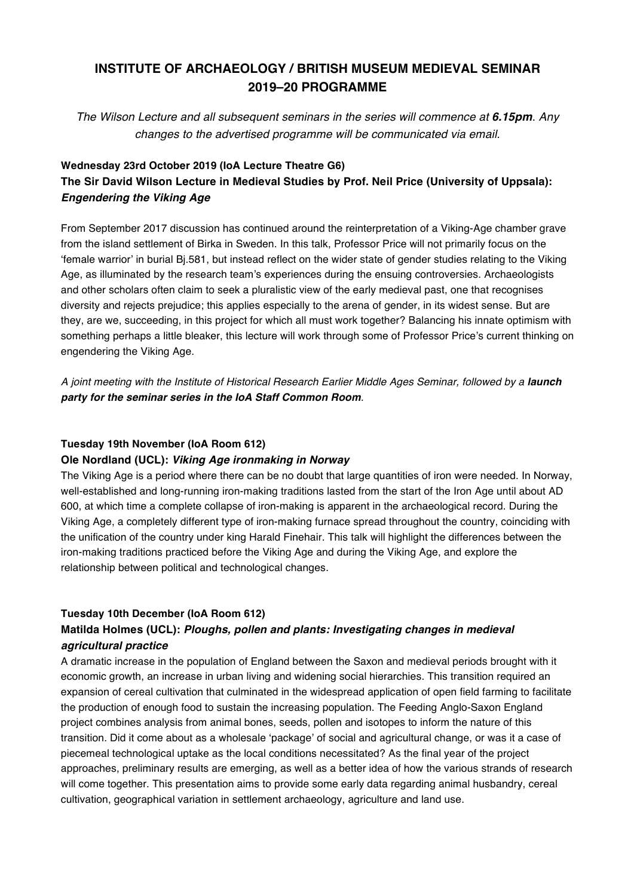# **INSTITUTE OF ARCHAEOLOGY / BRITISH MUSEUM MEDIEVAL SEMINAR 2019–20 PROGRAMME**

*The Wilson Lecture and all subsequent seminars in the series will commence at 6.15pm. Any changes to the advertised programme will be communicated via email.*

## **Wednesday 23rd October 2019 (IoA Lecture Theatre G6) The Sir David Wilson Lecture in Medieval Studies by Prof. Neil Price (University of Uppsala):** *Engendering the Viking Age*

From September 2017 discussion has continued around the reinterpretation of a Viking-Age chamber grave from the island settlement of Birka in Sweden. In this talk, Professor Price will not primarily focus on the 'female warrior' in burial Bj.581, but instead reflect on the wider state of gender studies relating to the Viking Age, as illuminated by the research team's experiences during the ensuing controversies. Archaeologists and other scholars often claim to seek a pluralistic view of the early medieval past, one that recognises diversity and rejects prejudice; this applies especially to the arena of gender, in its widest sense. But are they, are we, succeeding, in this project for which all must work together? Balancing his innate optimism with something perhaps a little bleaker, this lecture will work through some of Professor Price's current thinking on engendering the Viking Age.

A joint meeting with the Institute of Historical Research Earlier Middle Ages Seminar, followed by a launch *party for the seminar series in the IoA Staff Common Room.*

#### **Tuesday 19th November (IoA Room 612)**

#### **Ole Nordland (UCL):** *Viking Age ironmaking in Norway*

The Viking Age is a period where there can be no doubt that large quantities of iron were needed. In Norway, well-established and long-running iron-making traditions lasted from the start of the Iron Age until about AD 600, at which time a complete collapse of iron-making is apparent in the archaeological record. During the Viking Age, a completely different type of iron-making furnace spread throughout the country, coinciding with the unification of the country under king Harald Finehair. This talk will highlight the differences between the iron-making traditions practiced before the Viking Age and during the Viking Age, and explore the relationship between political and technological changes.

#### **Tuesday 10th December (IoA Room 612)**

## **Matilda Holmes (UCL):** *Ploughs, pollen and plants: Investigating changes in medieval agricultural practice*

A dramatic increase in the population of England between the Saxon and medieval periods brought with it economic growth, an increase in urban living and widening social hierarchies. This transition required an expansion of cereal cultivation that culminated in the widespread application of open field farming to facilitate the production of enough food to sustain the increasing population. The Feeding Anglo-Saxon England project combines analysis from animal bones, seeds, pollen and isotopes to inform the nature of this transition. Did it come about as a wholesale 'package' of social and agricultural change, or was it a case of piecemeal technological uptake as the local conditions necessitated? As the final year of the project approaches, preliminary results are emerging, as well as a better idea of how the various strands of research will come together. This presentation aims to provide some early data regarding animal husbandry, cereal cultivation, geographical variation in settlement archaeology, agriculture and land use.